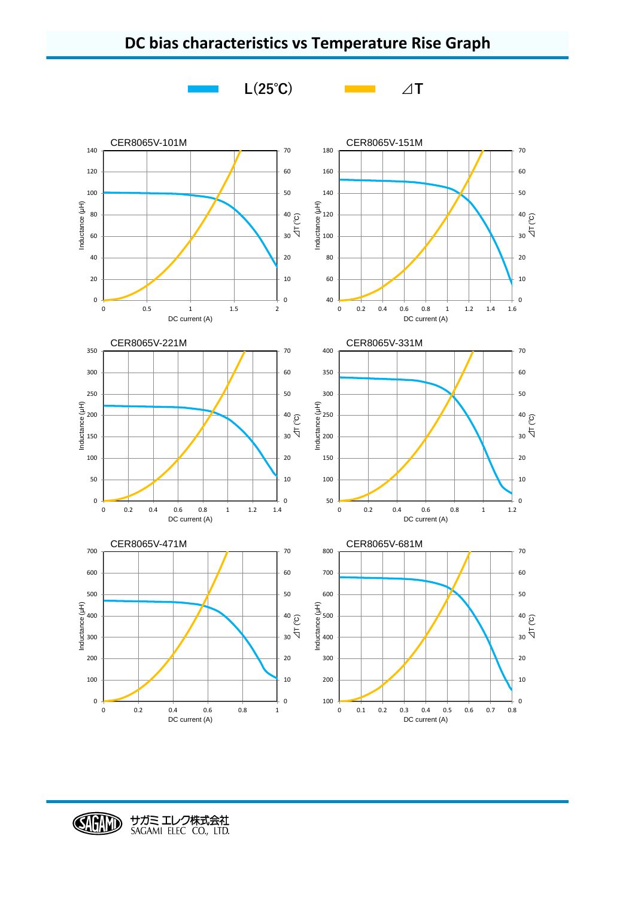